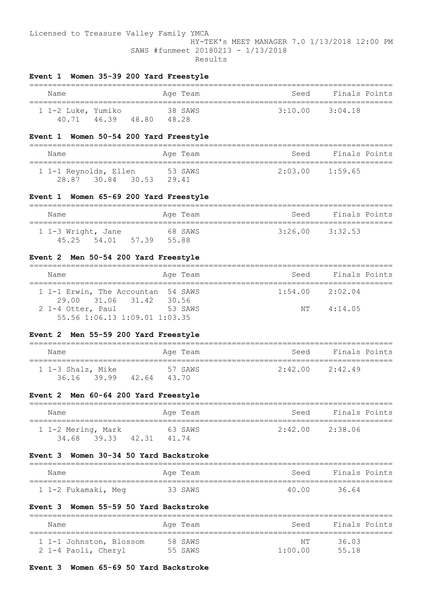#### Licensed to Treasure Valley Family YMCA

## HY-TEK's MEET MANAGER 7.0 1/13/2018 12:00 PM SAWS #funmeet 20180213 - 1/13/2018 Results

# **Event 1 Women 35-39 200 Yard Freestyle**

| Name                        |       |       | Aqe Team         | Seed    | Finals Points |
|-----------------------------|-------|-------|------------------|---------|---------------|
| 1 1-2 Luke, Yumiko<br>40.71 | 46.39 | 48.80 | 38 SAWS<br>48.28 | 3:10.00 | 3:04.18       |

## **Event 1 Women 50-54 200 Yard Freestyle**

| Name                                 |       |       | Aqe Team | Seed                | Finals Points |
|--------------------------------------|-------|-------|----------|---------------------|---------------|
| 1 1-1 Reynolds, Ellen<br>28.87 30.84 | 30.53 | 29.41 | 53 SAWS  | $2:03.00$ $1:59.65$ |               |

#### **Event 1 Women 65-69 200 Yard Freestyle**

| Name                                    | Age Team         | Seed                | Finals Points |
|-----------------------------------------|------------------|---------------------|---------------|
| 1 1-3 Wright, Jane<br>45.25 54.01 57.39 | 68 SAWS<br>55.88 | $3:26.00$ $3:32.53$ |               |

## **Event 2 Men 50-54 200 Yard Freestyle**

| Name                               | Age Team | Seed | Finals Points       |
|------------------------------------|----------|------|---------------------|
|                                    |          |      |                     |
| 1 1-1 Erwin, The Accountan 54 SAWS |          |      | $1:54.00$ $2:02.04$ |
| 29.00 31.06 31.42 30.56            |          |      |                     |
| 2 1-4 Otter, Paul                  | 53 SAWS  | NТ   | 4:14.05             |
| $55.56$ 1:06.13 1:09.01 1:03.35    |          |      |                     |

## **Event 2 Men 55-59 200 Yard Freestyle**

| Name                                   | Aqe Team         | Seed                | Finals Points |
|----------------------------------------|------------------|---------------------|---------------|
| 1 1-3 Shalz, Mike<br>36.16 39.99 42.64 | 57 SAWS<br>43.70 | $2:42.00$ $2:42.49$ |               |

## **Event 2 Men 60-64 200 Yard Freestyle**

| Name                              |       | Age Team         | Seed            | Finals Points |
|-----------------------------------|-------|------------------|-----------------|---------------|
| 1 1-2 Mering, Mark<br>34.68 39.33 | 42.31 | 63 SAWS<br>41.74 | 2:42.00 2:38.06 |               |

## **Event 3 Women 30-34 50 Yard Backstroke**

| Name                | Age Team | Seed  | Finals Points |
|---------------------|----------|-------|---------------|
| 1 1-2 Fukamaki, Meg | 33 SAWS  | 40.00 | 36.64         |

#### **Event 3 Women 55-59 50 Yard Backstroke**

| Name                                           | Age Team           | Seed          | Finals Points  |
|------------------------------------------------|--------------------|---------------|----------------|
| 1 1-1 Johnston, Blossom<br>2 1-4 Paoli, Cheryl | 58 SAWS<br>55 SAWS | NΤ<br>1:00.00 | 36.03<br>55.18 |

### **Event 3 Women 65-69 50 Yard Backstroke**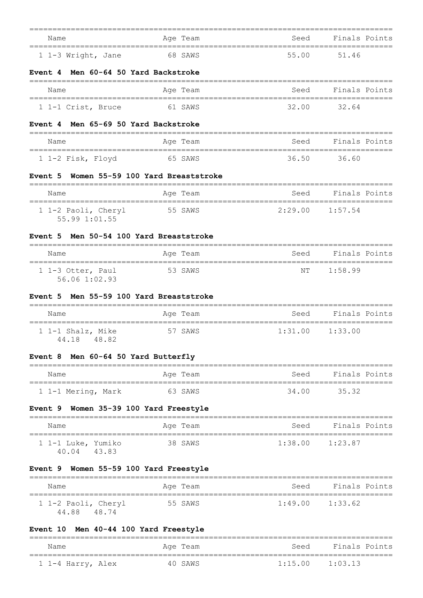| Name<br>==============================                     | Age Team                          | Seed<br>=========== | Finals Points<br>=============        |
|------------------------------------------------------------|-----------------------------------|---------------------|---------------------------------------|
| 1 1-3 Wright, Jane                                         | 68 SAWS                           | 55.00               | 51.46                                 |
| Event 4 Men 60-64 50 Yard Backstroke<br>==============     |                                   |                     |                                       |
| Name                                                       | Age Team                          | Seed                | Finals Points                         |
| ====================================<br>1 1-1 Crist, Bruce | 61 SAWS                           | 32.00               | 32.64                                 |
| Men 65-69 50 Yard Backstroke<br>Event 4                    |                                   |                     |                                       |
| Name                                                       | Age Team                          | Seed                | Finals Points                         |
| 1 1-2 Fisk, Floyd                                          | 65 SAWS                           | 36.50               | 36.60                                 |
| Event 5                                                    | Women 55-59 100 Yard Breaststroke |                     |                                       |
| Name                                                       | Age Team                          | Seed                | Finals Points                         |
| 1 1-2 Paoli, Cheryl                                        | 55 SAWS                           | 2:29.00             | 1:57.54                               |
| 55.99 1:01.55                                              |                                   |                     |                                       |
| Men 50-54 100 Yard Breaststroke<br>Event 5                 |                                   |                     |                                       |
| Name                                                       | Age Team                          | Seed                | Finals Points                         |
| 1 1-3 Otter, Paul                                          | 53 SAWS                           | NΤ                  | 1:58.99                               |
| 56.06 1:02.93                                              |                                   |                     |                                       |
| Men 55-59 100 Yard Breaststroke<br>Event 5                 |                                   |                     |                                       |
| Name                                                       | Age Team                          | Seed                | Finals Points                         |
| 1 1-1 Shalz, Mike<br>44.18 48.82                           | 57 SAWS                           | 1:31.00             | 1:33.00                               |
| Event 8 Men 60-64 50 Yard Butterfly                        |                                   |                     |                                       |
| Name                                                       | Age Team                          | Seed                | Finals Points                         |
| 1 1-1 Mering, Mark                                         | 63 SAWS                           | 34.00               | 35.32                                 |
| Women 35-39 100 Yard Freestyle<br>Event 9                  |                                   |                     |                                       |
| Name                                                       | Age Team                          | Seed                | Finals Points                         |
| ========================<br>1 1-1 Luke, Yumiko             | 38 SAWS                           | =========           | ==============<br>$1:38.00$ $1:23.87$ |
| 40.04 43.83                                                |                                   |                     |                                       |
| Event 9 Women 55-59 100 Yard Freestyle<br>:==============  | ===============================   |                     |                                       |
| Name                                                       | Age Team                          | Seed                | Finals Points                         |
| 1 1-2 Paoli, Cheryl<br>44.88 48.74                         | 55 SAWS                           |                     | $1:49.00$ $1:33.62$                   |
| Event 10 Men 40-44 100 Yard Freestyle                      |                                   |                     |                                       |

| Name              | Age Team | Seed                | Finals Points |
|-------------------|----------|---------------------|---------------|
| 1 1-4 Harry, Alex | 40 SAWS  | $1:15.00$ $1:03.13$ |               |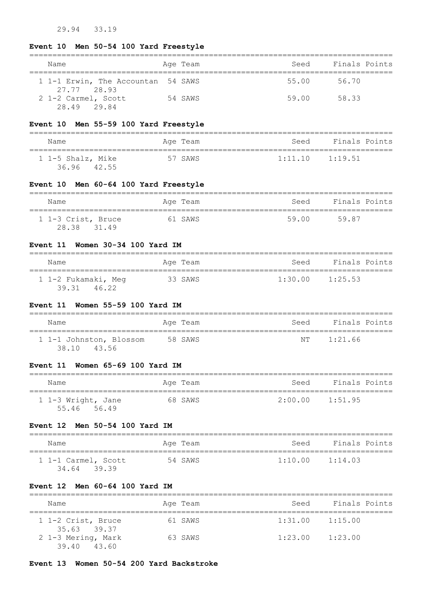# 29.94 33.19

# **Event 10 Men 50-54 100 Yard Freestyle**

| Name                                              | Age Team | Seed  | Finals Points |
|---------------------------------------------------|----------|-------|---------------|
| 1 1-1 Erwin, The Accountan 54 SAWS<br>27.77 28.93 |          | 55.00 | 56.70         |
| 2 1-2 Carmel, Scott<br>28.49 29.84                | 54 SAWS  | 59.00 | 58.33         |

## **Event 10 Men 55-59 100 Yard Freestyle**

| Name                             | Aqe Team | Seed Finals Points  |
|----------------------------------|----------|---------------------|
| 1 1-5 Shalz, Mike<br>36.96 42.55 | 57 SAWS  | $1:11.10$ $1:19.51$ |

## **Event 10 Men 60-64 100 Yard Freestyle**

| Name                              | Aqe Team | Finals Points<br>Seed |
|-----------------------------------|----------|-----------------------|
| 1 1-3 Crist, Bruce<br>28.38 31.49 | 61 SAWS  | 59.00<br>59.87        |

### **Event 11 Women 30-34 100 Yard IM**

| Name                                  | Age Team | Finals Points<br>Seed |
|---------------------------------------|----------|-----------------------|
| 1 1-2 Fukamaki, Meg<br>46.22<br>39.31 | 33 SAWS  | 1:30.00<br>1:25.53    |

### **Event 11 Women 55-59 100 Yard IM**

| Name                                   | Age Team | Finals Points<br>Seed |  |
|----------------------------------------|----------|-----------------------|--|
| 1 1-1 Johnston, Blossom<br>38.10 43.56 | 58 SAWS  | 1:21.66<br>N T        |  |

## **Event 11 Women 65-69 100 Yard IM**

| Name                              | Age Team | Finals Points<br>Seed |
|-----------------------------------|----------|-----------------------|
| 1 1-3 Wright, Jane<br>55.46 56.49 | 68 SAWS  | 2:00.00<br>1:51.95    |

# **Event 12 Men 50-54 100 Yard IM**

| Name                               | Age Team | Finals Points<br>Seed |
|------------------------------------|----------|-----------------------|
| 1 1-1 Carmel, Scott<br>34.64 39.39 | 54 SAWS  | 1:10.00<br>1:14.03    |

## **Event 12 Men 60-64 100 Yard IM**

| Name                              | Age Team | Seed    | Finals Points |
|-----------------------------------|----------|---------|---------------|
| 1 1-2 Crist, Bruce<br>35.63 39.37 | 61 SAWS  | 1:31.00 | 1:15.00       |
| 2 1-3 Mering, Mark<br>39.40 43.60 | 63 SAWS  | 1:23.00 | 1:23.00       |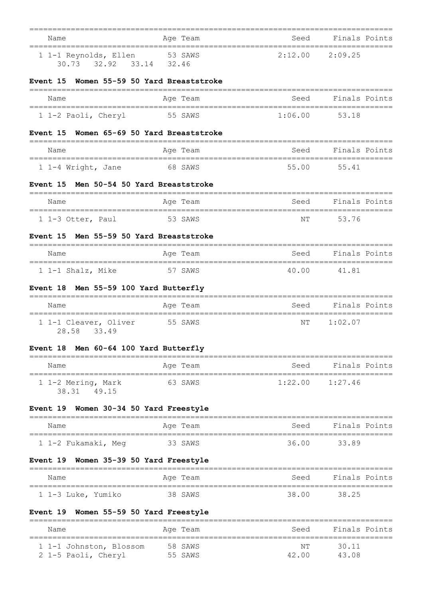| Name<br>=====================================       | Age Team                               | Seed<br>========================= | Finals Points<br>============== |
|-----------------------------------------------------|----------------------------------------|-----------------------------------|---------------------------------|
| 1 1-1 Reynolds, Ellen<br>30.73 32.92 33.14          | 53 SAWS<br>32.46                       | 2:12.00                           | 2:09.25                         |
| Women 55-59 50 Yard Breaststroke<br><b>Event</b> 15 |                                        | ------------------                |                                 |
| Name                                                | Age Team                               | Seed                              | Finals Points                   |
| 1 1-2 Paoli, Cheryl                                 | 55 SAWS                                | 1:06.00                           | 53.18                           |
| Women 65-69 50 Yard Breaststroke<br>Event 15        |                                        |                                   |                                 |
| Name                                                | Age Team                               | Seed                              | Finals Points                   |
| 1 1-4 Wright, Jane                                  | 68 SAWS                                | 55.00                             | 55.41                           |
| Event 15 Men 50-54 50 Yard Breaststroke             |                                        |                                   |                                 |
| Name                                                | Age Team                               | Seed                              | Finals Points                   |
| 1 1-3 Otter, Paul                                   | 53 SAWS                                | NT                                | 53.76                           |
| Men 55-59 50 Yard Breaststroke<br>Event 15          |                                        |                                   |                                 |
| Name                                                | Age Team                               | Seed                              | Finals Points                   |
| 1 1-1 Shalz, Mike                                   | 57 SAWS                                | 40.00                             | 41.81                           |
| Men 55-59 100 Yard Butterfly<br><b>Event 18</b>     |                                        |                                   |                                 |
| Name                                                | Age Team                               | Seed                              | Finals Points                   |
| 1 1-1 Cleaver, Oliver<br>28.58 33.49                | 55 SAWS                                | ΝT                                | 1:02.07                         |
| Event 18 Men 60-64 100 Yard Butterfly               |                                        |                                   |                                 |
| Name                                                | Age Team                               | Seed                              | Finals Points                   |
| 1 1-2 Mering, Mark<br>38.31 49.15                   | 63 SAWS                                | 1:22.00                           | 1:27.46                         |
| Event 19 Women 30-34 50 Yard Freestyle              |                                        |                                   |                                 |
| Name                                                | ==========================<br>Age Team | Seed                              | Finals Points                   |
| 1 1-2 Fukamaki, Meg                                 | 33 SAWS                                | 36.00                             | 33.89                           |
| Event 19 Women 35-39 50 Yard Freestyle              |                                        |                                   |                                 |
| Name                                                | Age Team                               | Seed                              | Finals Points                   |
| 1 1-3 Luke, Yumiko                                  | 38 SAWS                                | 38.00                             | 38.25                           |
| Event 19 Women 55-59 50 Yard Freestyle              |                                        |                                   |                                 |
| Name                                                | Age Team                               | Seed                              | Finals Points                   |
| 1 1-1 Johnston, Blossom                             | 58 SAWS                                | NΤ                                | 30.11                           |
| 2 1-5 Paoli, Cheryl                                 | 55 SAWS                                | 42.00                             | 43.08                           |